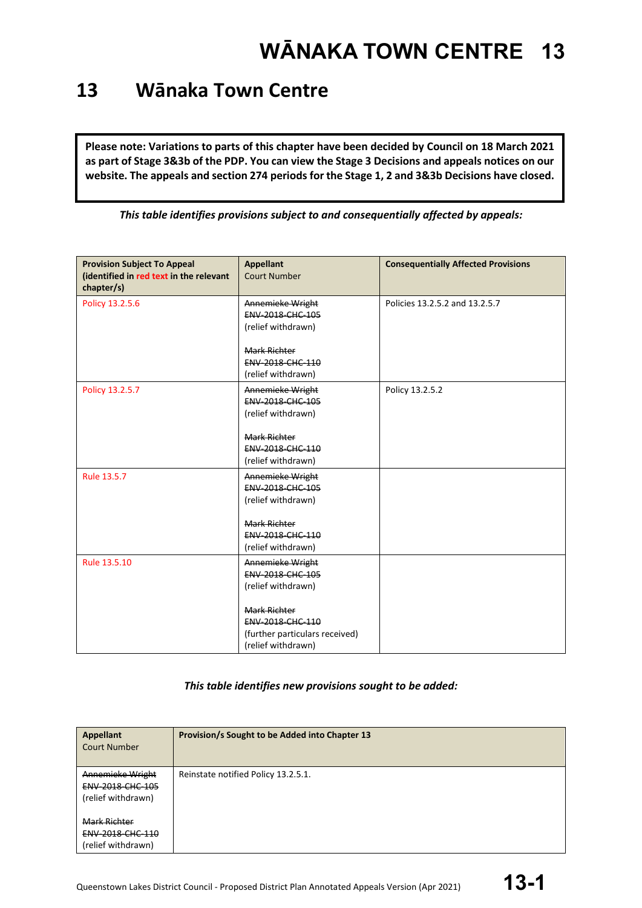### **13 Wānaka Town Centre**

**Please note: Variations to parts of this chapter have been decided by Council on 18 March 2021 as part of Stage 3&3b of the PDP. You can view the Stage 3 Decisions and appeals notices on our website. The appeals and section 274 periods for the Stage 1, 2 and 3&3b Decisions have closed.**

*This table identifies provisions subject to and consequentially affected by appeals:*

| <b>Provision Subject To Appeal</b><br>(identified in red text in the relevant<br>chapter/s) | <b>Appellant</b><br><b>Court Number</b>                                                         | <b>Consequentially Affected Provisions</b> |
|---------------------------------------------------------------------------------------------|-------------------------------------------------------------------------------------------------|--------------------------------------------|
| Policy 13.2.5.6                                                                             | Annemieke Wright<br>ENV-2018-CHC-105<br>(relief withdrawn)<br><b>Mark Richter</b>               | Policies 13.2.5.2 and 13.2.5.7             |
|                                                                                             | <b>ENV 2018 CHC 110</b><br>(relief withdrawn)                                                   |                                            |
| Policy 13.2.5.7                                                                             | Annemieke Wright<br>ENV-2018-CHC-105<br>(relief withdrawn)                                      | Policy 13.2.5.2                            |
|                                                                                             | <b>Mark Richter</b><br>ENV-2018-CHC-110<br>(relief withdrawn)                                   |                                            |
| Rule 13.5.7                                                                                 | Annemieke Wright<br>ENV-2018-CHC-105<br>(relief withdrawn)                                      |                                            |
|                                                                                             | Mark Richter<br>ENV-2018-CHC-110<br>(relief withdrawn)                                          |                                            |
| Rule 13.5.10                                                                                | Annemieke Wright<br>ENV-2018-CHC-105<br>(relief withdrawn)                                      |                                            |
|                                                                                             | <b>Mark Richter</b><br>ENV-2018-CHC-110<br>(further particulars received)<br>(relief withdrawn) |                                            |

#### *This table identifies new provisions sought to be added:*

| <b>Appellant</b><br><b>Court Number</b>                    | Provision/s Sought to be Added into Chapter 13 |
|------------------------------------------------------------|------------------------------------------------|
| Annemieke Wright<br>ENV-2018-CHC-105<br>(relief withdrawn) | Reinstate notified Policy 13.2.5.1.            |
| Mark Richter<br>ENV-2018-CHC-110<br>(relief withdrawn)     |                                                |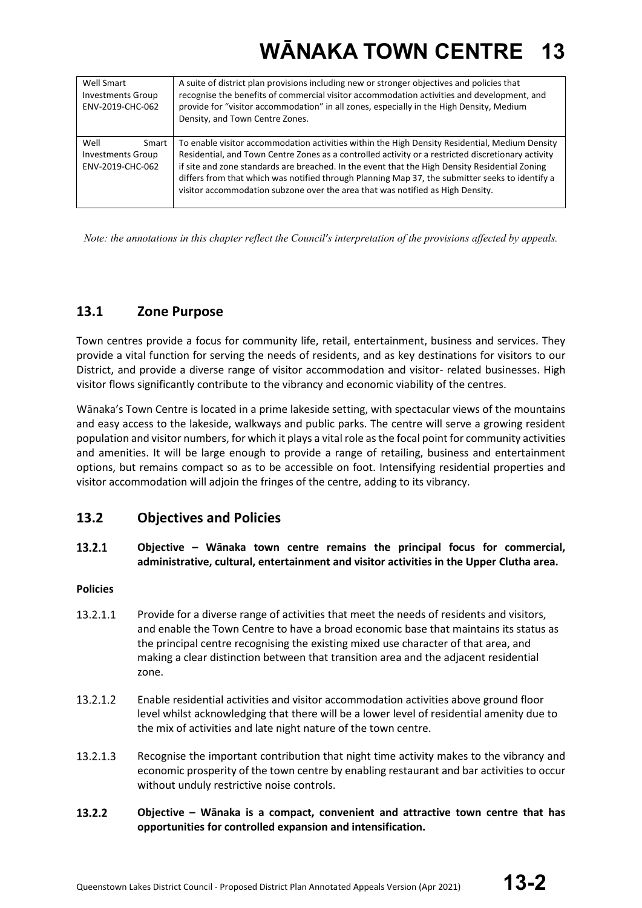| Well Smart<br><b>Investments Group</b><br>ENV-2019-CHC-062    | A suite of district plan provisions including new or stronger objectives and policies that<br>recognise the benefits of commercial visitor accommodation activities and development, and<br>provide for "visitor accommodation" in all zones, especially in the High Density, Medium<br>Density, and Town Centre Zones.                                                                                                                                                                     |
|---------------------------------------------------------------|---------------------------------------------------------------------------------------------------------------------------------------------------------------------------------------------------------------------------------------------------------------------------------------------------------------------------------------------------------------------------------------------------------------------------------------------------------------------------------------------|
| Well<br>Smart<br><b>Investments Group</b><br>ENV-2019-CHC-062 | To enable visitor accommodation activities within the High Density Residential, Medium Density<br>Residential, and Town Centre Zones as a controlled activity or a restricted discretionary activity<br>if site and zone standards are breached. In the event that the High Density Residential Zoning<br>differs from that which was notified through Planning Map 37, the submitter seeks to identify a<br>visitor accommodation subzone over the area that was notified as High Density. |

*Note: the annotations in this chapter reflect the Council's interpretation of the provisions affected by appeals.*

### **13.1 Zone Purpose**

Town centres provide a focus for community life, retail, entertainment, business and services. They provide a vital function for serving the needs of residents, and as key destinations for visitors to our District, and provide a diverse range of visitor accommodation and visitor- related businesses. High visitor flows significantly contribute to the vibrancy and economic viability of the centres.

Wānaka's Town Centre is located in a prime lakeside setting, with spectacular views of the mountains and easy access to the lakeside, walkways and public parks. The centre will serve a growing resident population and visitor numbers, for which it plays a vital role as the focal point for community activities and amenities. It will be large enough to provide a range of retailing, business and entertainment options, but remains compact so as to be accessible on foot. Intensifying residential properties and visitor accommodation will adjoin the fringes of the centre, adding to its vibrancy.

### **13.2 Objectives and Policies**

#### 13.2.1 **Objective – Wānaka town centre remains the principal focus for commercial, administrative, cultural, entertainment and visitor activities in the Upper Clutha area.**

#### **Policies**

- 13.2.1.1 Provide for a diverse range of activities that meet the needs of residents and visitors, and enable the Town Centre to have a broad economic base that maintains its status as the principal centre recognising the existing mixed use character of that area, and making a clear distinction between that transition area and the adjacent residential zone.
- 13.2.1.2 Enable residential activities and visitor accommodation activities above ground floor level whilst acknowledging that there will be a lower level of residential amenity due to the mix of activities and late night nature of the town centre.
- 13.2.1.3 Recognise the important contribution that night time activity makes to the vibrancy and economic prosperity of the town centre by enabling restaurant and bar activities to occur without unduly restrictive noise controls.
- 13.2.2 **Objective – Wānaka is a compact, convenient and attractive town centre that has opportunities for controlled expansion and intensification.**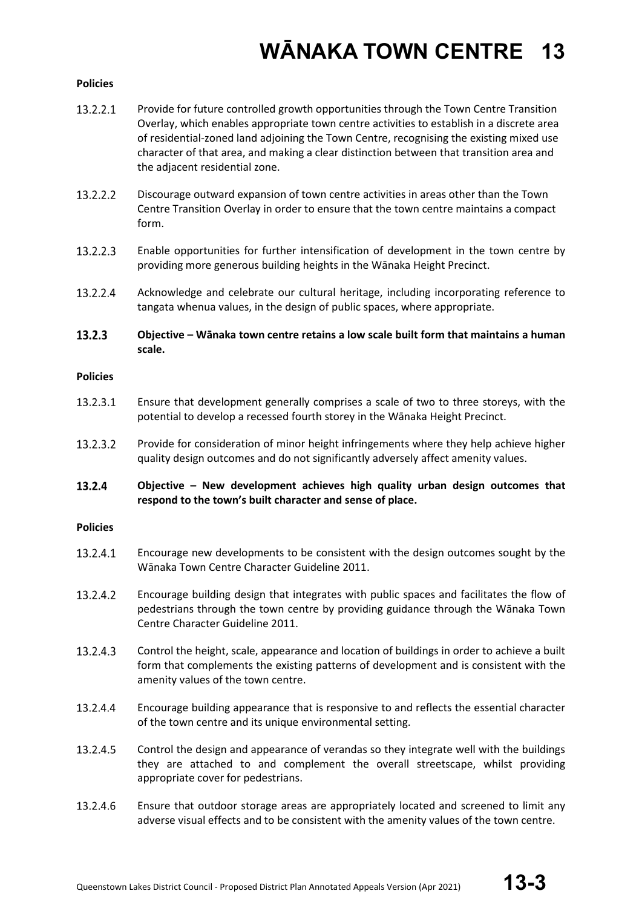#### **Policies**

- 13.2.2.1 Provide for future controlled growth opportunities through the Town Centre Transition Overlay, which enables appropriate town centre activities to establish in a discrete area of residential-zoned land adjoining the Town Centre, recognising the existing mixed use character of that area, and making a clear distinction between that transition area and the adjacent residential zone.
- 13.2.2.2 Discourage outward expansion of town centre activities in areas other than the Town Centre Transition Overlay in order to ensure that the town centre maintains a compact form.
- 13.2.2.3 Enable opportunities for further intensification of development in the town centre by providing more generous building heights in the Wānaka Height Precinct.
- 13.2.2.4 Acknowledge and celebrate our cultural heritage, including incorporating reference to tangata whenua values, in the design of public spaces, where appropriate.
- 13.2.3 **Objective – Wānaka town centre retains a low scale built form that maintains a human scale.**

#### **Policies**

- 13.2.3.1 Ensure that development generally comprises a scale of two to three storeys, with the potential to develop a recessed fourth storey in the Wānaka Height Precinct.
- 13.2.3.2 Provide for consideration of minor height infringements where they help achieve higher quality design outcomes and do not significantly adversely affect amenity values.

#### 13.2.4 **Objective – New development achieves high quality urban design outcomes that respond to the town's built character and sense of place.**

#### **Policies**

- 13.2.4.1 Encourage new developments to be consistent with the design outcomes sought by the Wānaka Town Centre Character Guideline 2011.
- 13.2.4.2 Encourage building design that integrates with public spaces and facilitates the flow of pedestrians through the town centre by providing guidance through the Wānaka Town Centre Character Guideline 2011.
- 13.2.4.3 Control the height, scale, appearance and location of buildings in order to achieve a built form that complements the existing patterns of development and is consistent with the amenity values of the town centre.
- 13.2.4.4 Encourage building appearance that is responsive to and reflects the essential character of the town centre and its unique environmental setting.
- 13.2.4.5 Control the design and appearance of verandas so they integrate well with the buildings they are attached to and complement the overall streetscape, whilst providing appropriate cover for pedestrians.
- 13.2.4.6 Ensure that outdoor storage areas are appropriately located and screened to limit any adverse visual effects and to be consistent with the amenity values of the town centre.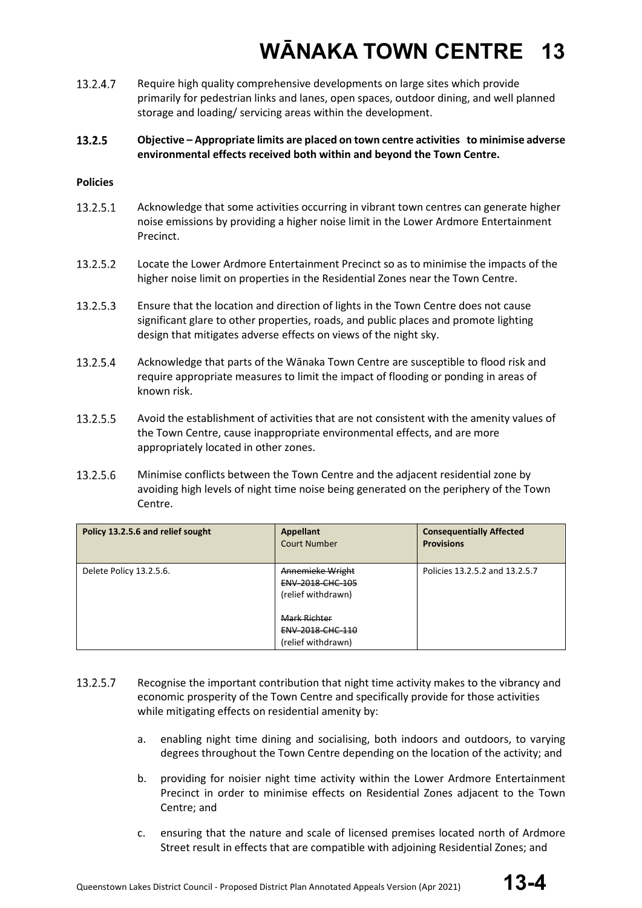13.2.4.7 Require high quality comprehensive developments on large sites which provide primarily for pedestrian links and lanes, open spaces, outdoor dining, and well planned storage and loading/ servicing areas within the development.

#### 13.2.5 **Objective – Appropriate limits are placed on town centre activities to minimise adverse environmental effects received both within and beyond the Town Centre.**

#### **Policies**

- 13.2.5.1 Acknowledge that some activities occurring in vibrant town centres can generate higher noise emissions by providing a higher noise limit in the Lower Ardmore Entertainment Precinct.
- 13.2.5.2 Locate the Lower Ardmore Entertainment Precinct so as to minimise the impacts of the higher noise limit on properties in the Residential Zones near the Town Centre.
- 13.2.5.3 Ensure that the location and direction of lights in the Town Centre does not cause significant glare to other properties, roads, and public places and promote lighting design that mitigates adverse effects on views of the night sky.
- 13.2.5.4 Acknowledge that parts of the Wānaka Town Centre are susceptible to flood risk and require appropriate measures to limit the impact of flooding or ponding in areas of known risk.
- 13.2.5.5 Avoid the establishment of activities that are not consistent with the amenity values of the Town Centre, cause inappropriate environmental effects, and are more appropriately located in other zones.
- 13.2.5.6 Minimise conflicts between the Town Centre and the adjacent residential zone by avoiding high levels of night time noise being generated on the periphery of the Town Centre.

| Policy 13.2.5.6 and relief sought | <b>Appellant</b><br><b>Court Number</b>                           | <b>Consequentially Affected</b><br><b>Provisions</b> |
|-----------------------------------|-------------------------------------------------------------------|------------------------------------------------------|
| Delete Policy 13.2.5.6.           | Annemieke Wright<br><b>ENV 2018 CHC 105</b><br>(relief withdrawn) | Policies 13.2.5.2 and 13.2.5.7                       |
|                                   | <b>Mark Richter</b><br>ENV-2018-CHC-110<br>(relief withdrawn)     |                                                      |

- 13.2.5.7 Recognise the important contribution that night time activity makes to the vibrancy and economic prosperity of the Town Centre and specifically provide for those activities while mitigating effects on residential amenity by:
	- a. enabling night time dining and socialising, both indoors and outdoors, to varying degrees throughout the Town Centre depending on the location of the activity; and
	- b. providing for noisier night time activity within the Lower Ardmore Entertainment Precinct in order to minimise effects on Residential Zones adjacent to the Town Centre; and
	- c. ensuring that the nature and scale of licensed premises located north of Ardmore Street result in effects that are compatible with adjoining Residential Zones; and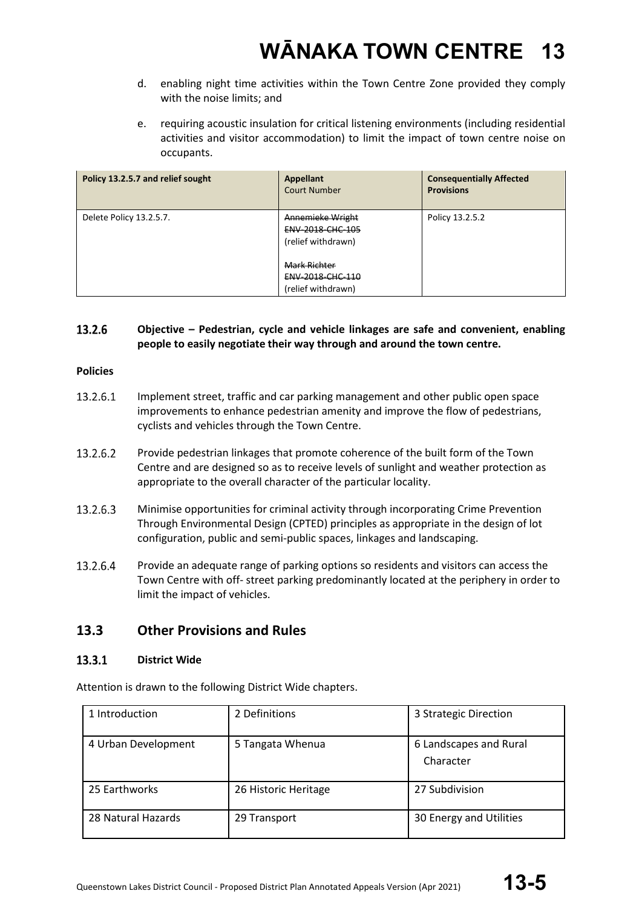- d. enabling night time activities within the Town Centre Zone provided they comply with the noise limits; and
- e. requiring acoustic insulation for critical listening environments (including residential activities and visitor accommodation) to limit the impact of town centre noise on occupants.

| Policy 13.2.5.7 and relief sought | <b>Appellant</b><br><b>Court Number</b>                              | <b>Consequentially Affected</b><br><b>Provisions</b> |
|-----------------------------------|----------------------------------------------------------------------|------------------------------------------------------|
| Delete Policy 13.2.5.7.           | Annemieke Wright<br><b>ENV 2018 CHC 105</b><br>(relief withdrawn)    | Policy 13.2.5.2                                      |
|                                   | <b>Mark Richter</b><br><b>ENV 2018 CHC 110</b><br>(relief withdrawn) |                                                      |

#### 13.2.6 **Objective – Pedestrian, cycle and vehicle linkages are safe and convenient, enabling people to easily negotiate their way through and around the town centre.**

#### **Policies**

- 13.2.6.1 Implement street, traffic and car parking management and other public open space improvements to enhance pedestrian amenity and improve the flow of pedestrians, cyclists and vehicles through the Town Centre.
- 13.2.6.2 Provide pedestrian linkages that promote coherence of the built form of the Town Centre and are designed so as to receive levels of sunlight and weather protection as appropriate to the overall character of the particular locality.
- 13.2.6.3 Minimise opportunities for criminal activity through incorporating Crime Prevention Through Environmental Design (CPTED) principles as appropriate in the design of lot configuration, public and semi-public spaces, linkages and landscaping.
- 13.2.6.4 Provide an adequate range of parking options so residents and visitors can access the Town Centre with off- street parking predominantly located at the periphery in order to limit the impact of vehicles.

### **13.3 Other Provisions and Rules**

#### 13.3.1 **District Wide**

Attention is drawn to the following District Wide chapters.

| 1 Introduction      | 2 Definitions        | 3 Strategic Direction               |
|---------------------|----------------------|-------------------------------------|
| 4 Urban Development | 5 Tangata Whenua     | 6 Landscapes and Rural<br>Character |
| 25 Earthworks       | 26 Historic Heritage | 27 Subdivision                      |
| 28 Natural Hazards  | 29 Transport         | 30 Energy and Utilities             |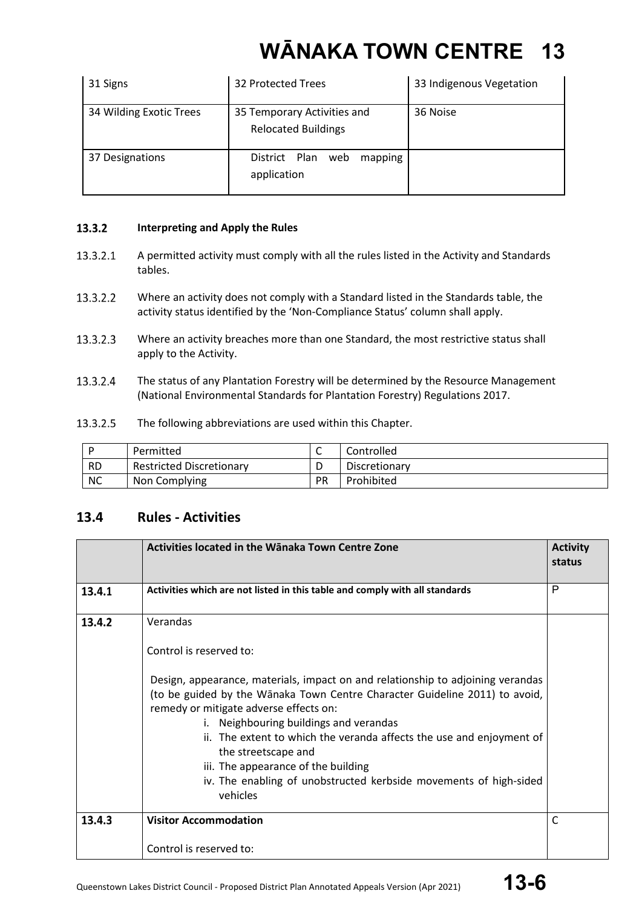| 31 Signs                | 32 Protected Trees                                        | 33 Indigenous Vegetation |
|-------------------------|-----------------------------------------------------------|--------------------------|
| 34 Wilding Exotic Trees | 35 Temporary Activities and<br><b>Relocated Buildings</b> | 36 Noise                 |
| 37 Designations         | District Plan<br>web<br>mapping<br>application            |                          |

#### $13.3.2$ **Interpreting and Apply the Rules**

- 13.3.2.1 A permitted activity must comply with all the rules listed in the Activity and Standards tables.
- 13.3.2.2 Where an activity does not comply with a Standard listed in the Standards table, the activity status identified by the 'Non-Compliance Status' column shall apply.
- $13.3.2.3$ Where an activity breaches more than one Standard, the most restrictive status shall apply to the Activity.
- 13.3.2.4 The status of any Plantation Forestry will be determined by the Resource Management (National Environmental Standards for Plantation Forestry) Regulations 2017.
- 13.3.2.5 The following abbreviations are used within this Chapter.

|           | Permitted                       | ∽  | Controlled    |
|-----------|---------------------------------|----|---------------|
| <b>RD</b> | <b>Restricted Discretionary</b> |    | Discretionary |
| <b>NC</b> | Non Complying                   | PR | Prohibited    |

### **13.4 Rules - Activities**

|        | Activities located in the Wānaka Town Centre Zone                                                                                                                                                                                                  | <b>Activity</b><br>status |
|--------|----------------------------------------------------------------------------------------------------------------------------------------------------------------------------------------------------------------------------------------------------|---------------------------|
| 13.4.1 | Activities which are not listed in this table and comply with all standards                                                                                                                                                                        | P                         |
| 13.4.2 | Verandas                                                                                                                                                                                                                                           |                           |
|        | Control is reserved to:                                                                                                                                                                                                                            |                           |
|        | Design, appearance, materials, impact on and relationship to adjoining verandas<br>(to be guided by the Wānaka Town Centre Character Guideline 2011) to avoid,<br>remedy or mitigate adverse effects on:<br>i. Neighbouring buildings and verandas |                           |
|        | ii. The extent to which the veranda affects the use and enjoyment of<br>the streetscape and<br>iii. The appearance of the building                                                                                                                 |                           |
|        | iv. The enabling of unobstructed kerbside movements of high-sided<br>vehicles                                                                                                                                                                      |                           |
| 13.4.3 | <b>Visitor Accommodation</b>                                                                                                                                                                                                                       | C                         |
|        | Control is reserved to:                                                                                                                                                                                                                            |                           |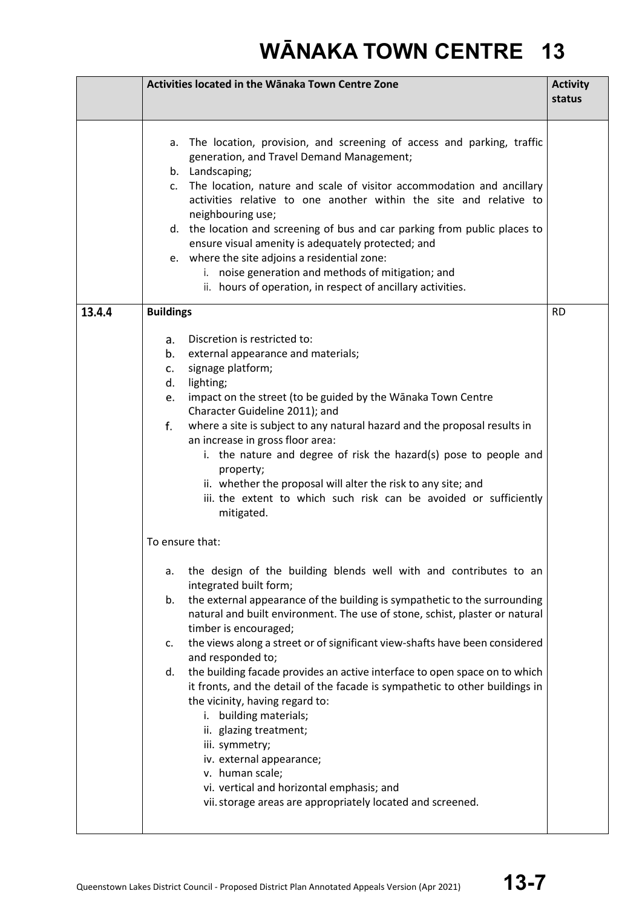|        | Activities located in the Wānaka Town Centre Zone                                                                                                                                                                                                                                                                                                                                                                                                                                                                                                                                                                                                                                                                                                                                                                                                                                                                                                                                                                                                                                                                                                                                                                                                                                                                                                                                                                                                                     | <b>Activity</b><br>status |
|--------|-----------------------------------------------------------------------------------------------------------------------------------------------------------------------------------------------------------------------------------------------------------------------------------------------------------------------------------------------------------------------------------------------------------------------------------------------------------------------------------------------------------------------------------------------------------------------------------------------------------------------------------------------------------------------------------------------------------------------------------------------------------------------------------------------------------------------------------------------------------------------------------------------------------------------------------------------------------------------------------------------------------------------------------------------------------------------------------------------------------------------------------------------------------------------------------------------------------------------------------------------------------------------------------------------------------------------------------------------------------------------------------------------------------------------------------------------------------------------|---------------------------|
|        | a. The location, provision, and screening of access and parking, traffic<br>generation, and Travel Demand Management;<br>b. Landscaping;<br>The location, nature and scale of visitor accommodation and ancillary<br>C.<br>activities relative to one another within the site and relative to<br>neighbouring use;<br>d. the location and screening of bus and car parking from public places to<br>ensure visual amenity is adequately protected; and<br>e. where the site adjoins a residential zone:<br>i. noise generation and methods of mitigation; and<br>ii. hours of operation, in respect of ancillary activities.                                                                                                                                                                                                                                                                                                                                                                                                                                                                                                                                                                                                                                                                                                                                                                                                                                          |                           |
| 13.4.4 | <b>Buildings</b>                                                                                                                                                                                                                                                                                                                                                                                                                                                                                                                                                                                                                                                                                                                                                                                                                                                                                                                                                                                                                                                                                                                                                                                                                                                                                                                                                                                                                                                      | <b>RD</b>                 |
|        | Discretion is restricted to:<br>а.<br>b.<br>external appearance and materials;<br>signage platform;<br>C.<br>lighting;<br>d.<br>impact on the street (to be guided by the Wānaka Town Centre<br>e.<br>Character Guideline 2011); and<br>where a site is subject to any natural hazard and the proposal results in<br>f.<br>an increase in gross floor area:<br>i. the nature and degree of risk the hazard(s) pose to people and<br>property;<br>ii. whether the proposal will alter the risk to any site; and<br>iii. the extent to which such risk can be avoided or sufficiently<br>mitigated.<br>To ensure that:<br>the design of the building blends well with and contributes to an<br>а.<br>integrated built form;<br>the external appearance of the building is sympathetic to the surrounding<br>b.<br>natural and built environment. The use of stone, schist, plaster or natural<br>timber is encouraged;<br>the views along a street or of significant view-shafts have been considered<br>c.<br>and responded to;<br>the building facade provides an active interface to open space on to which<br>d.<br>it fronts, and the detail of the facade is sympathetic to other buildings in<br>the vicinity, having regard to:<br>i. building materials;<br>ii. glazing treatment;<br>iii. symmetry;<br>iv. external appearance;<br>v. human scale;<br>vi. vertical and horizontal emphasis; and<br>vii. storage areas are appropriately located and screened. |                           |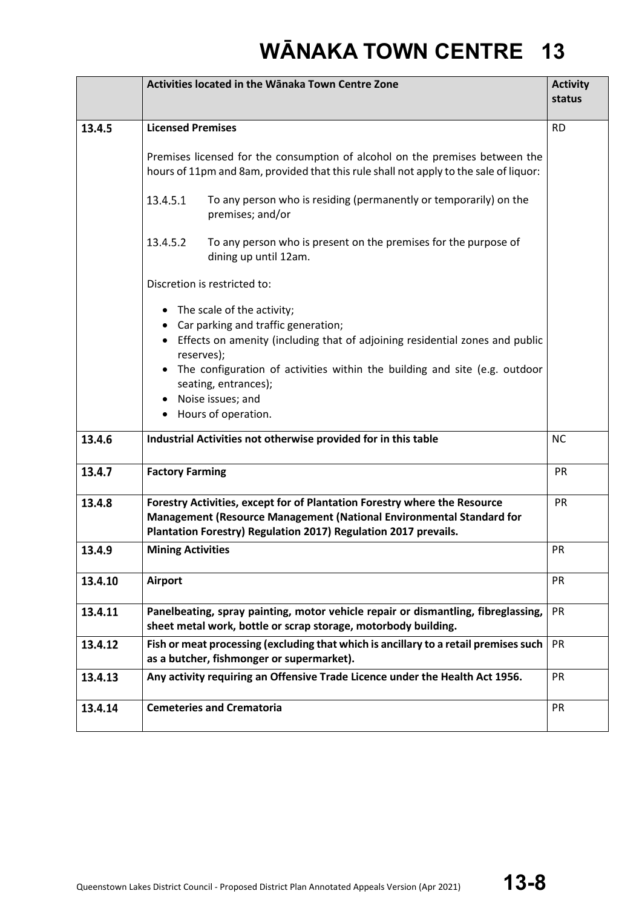|         | Activities located in the Wānaka Town Centre Zone                                                                                                                     | <b>Activity</b><br>status |
|---------|-----------------------------------------------------------------------------------------------------------------------------------------------------------------------|---------------------------|
| 13.4.5  | <b>Licensed Premises</b>                                                                                                                                              | <b>RD</b>                 |
|         | Premises licensed for the consumption of alcohol on the premises between the<br>hours of 11pm and 8am, provided that this rule shall not apply to the sale of liquor: |                           |
|         | 13.4.5.1<br>To any person who is residing (permanently or temporarily) on the<br>premises; and/or                                                                     |                           |
|         | 13.4.5.2<br>To any person who is present on the premises for the purpose of<br>dining up until 12am.                                                                  |                           |
|         | Discretion is restricted to:                                                                                                                                          |                           |
|         | The scale of the activity;<br>$\bullet$<br>Car parking and traffic generation;                                                                                        |                           |
|         | Effects on amenity (including that of adjoining residential zones and public<br>$\bullet$<br>reserves);                                                               |                           |
|         | The configuration of activities within the building and site (e.g. outdoor<br>seating, entrances);                                                                    |                           |
|         | Noise issues; and<br>$\bullet$                                                                                                                                        |                           |
|         | • Hours of operation.                                                                                                                                                 |                           |
| 13.4.6  | Industrial Activities not otherwise provided for in this table                                                                                                        | <b>NC</b>                 |
| 13.4.7  | <b>Factory Farming</b>                                                                                                                                                | PR                        |
| 13.4.8  | Forestry Activities, except for of Plantation Forestry where the Resource                                                                                             | PR                        |
|         | Management (Resource Management (National Environmental Standard for<br>Plantation Forestry) Regulation 2017) Regulation 2017 prevails.                               |                           |
| 13.4.9  | <b>Mining Activities</b>                                                                                                                                              | PR                        |
| 13.4.10 | <b>Airport</b>                                                                                                                                                        | <b>PR</b>                 |
| 13.4.11 | Panelbeating, spray painting, motor vehicle repair or dismantling, fibreglassing,<br>sheet metal work, bottle or scrap storage, motorbody building.                   | PR                        |
| 13.4.12 | Fish or meat processing (excluding that which is ancillary to a retail premises such<br>as a butcher, fishmonger or supermarket).                                     | PR                        |
| 13.4.13 | Any activity requiring an Offensive Trade Licence under the Health Act 1956.                                                                                          | PR                        |
| 13.4.14 | <b>Cemeteries and Crematoria</b>                                                                                                                                      | PR                        |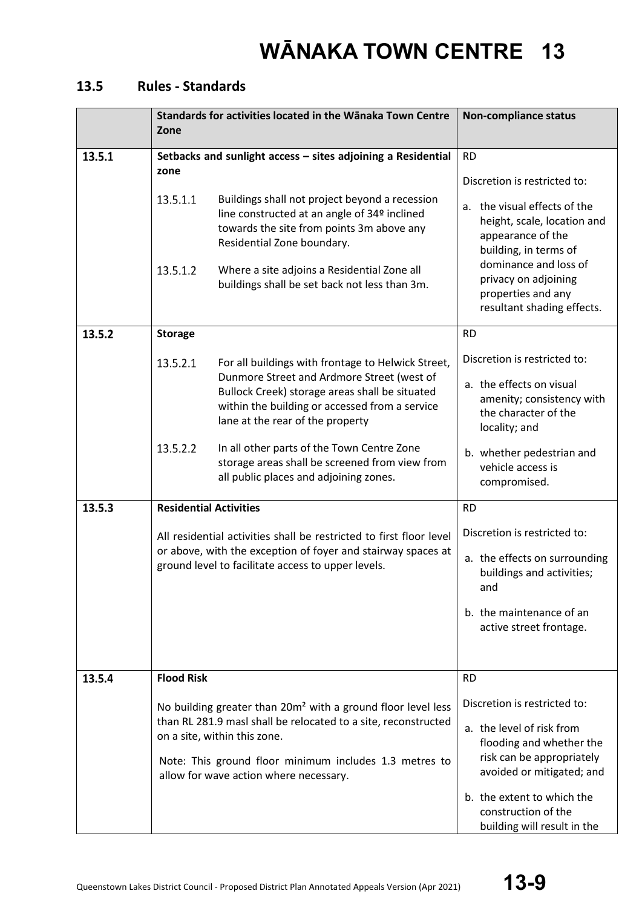### **13.5 Rules - Standards**

|        | Standards for activities located in the Wānaka Town Centre<br>Zone                                                                                                                                                                                                                                                                                                                                                           | <b>Non-compliance status</b>                                                                                                                                                                                                                                |
|--------|------------------------------------------------------------------------------------------------------------------------------------------------------------------------------------------------------------------------------------------------------------------------------------------------------------------------------------------------------------------------------------------------------------------------------|-------------------------------------------------------------------------------------------------------------------------------------------------------------------------------------------------------------------------------------------------------------|
| 13.5.1 | Setbacks and sunlight access - sites adjoining a Residential<br>zone<br>13.5.1.1<br>Buildings shall not project beyond a recession<br>line constructed at an angle of 34º inclined<br>towards the site from points 3m above any<br>Residential Zone boundary.<br>Where a site adjoins a Residential Zone all<br>13.5.1.2<br>buildings shall be set back not less than 3m.                                                    | <b>RD</b><br>Discretion is restricted to:<br>a. the visual effects of the<br>height, scale, location and<br>appearance of the<br>building, in terms of<br>dominance and loss of<br>privacy on adjoining<br>properties and any<br>resultant shading effects. |
| 13.5.2 | <b>Storage</b><br>13.5.2.1<br>For all buildings with frontage to Helwick Street,<br>Dunmore Street and Ardmore Street (west of<br>Bullock Creek) storage areas shall be situated<br>within the building or accessed from a service<br>lane at the rear of the property<br>13.5.2.2<br>In all other parts of the Town Centre Zone<br>storage areas shall be screened from view from<br>all public places and adjoining zones. | <b>RD</b><br>Discretion is restricted to:<br>a. the effects on visual<br>amenity; consistency with<br>the character of the<br>locality; and<br>b. whether pedestrian and<br>vehicle access is<br>compromised.                                               |
| 13.5.3 | <b>Residential Activities</b><br>All residential activities shall be restricted to first floor level<br>or above, with the exception of foyer and stairway spaces at<br>ground level to facilitate access to upper levels.                                                                                                                                                                                                   | <b>RD</b><br>Discretion is restricted to:<br>a. the effects on surrounding<br>buildings and activities;<br>and<br>b. the maintenance of an<br>active street frontage.                                                                                       |
| 13.5.4 | <b>Flood Risk</b><br>No building greater than 20m <sup>2</sup> with a ground floor level less<br>than RL 281.9 masl shall be relocated to a site, reconstructed<br>on a site, within this zone.<br>Note: This ground floor minimum includes 1.3 metres to<br>allow for wave action where necessary.                                                                                                                          | <b>RD</b><br>Discretion is restricted to:<br>a. the level of risk from<br>flooding and whether the<br>risk can be appropriately<br>avoided or mitigated; and<br>b. the extent to which the<br>construction of the<br>building will result in the            |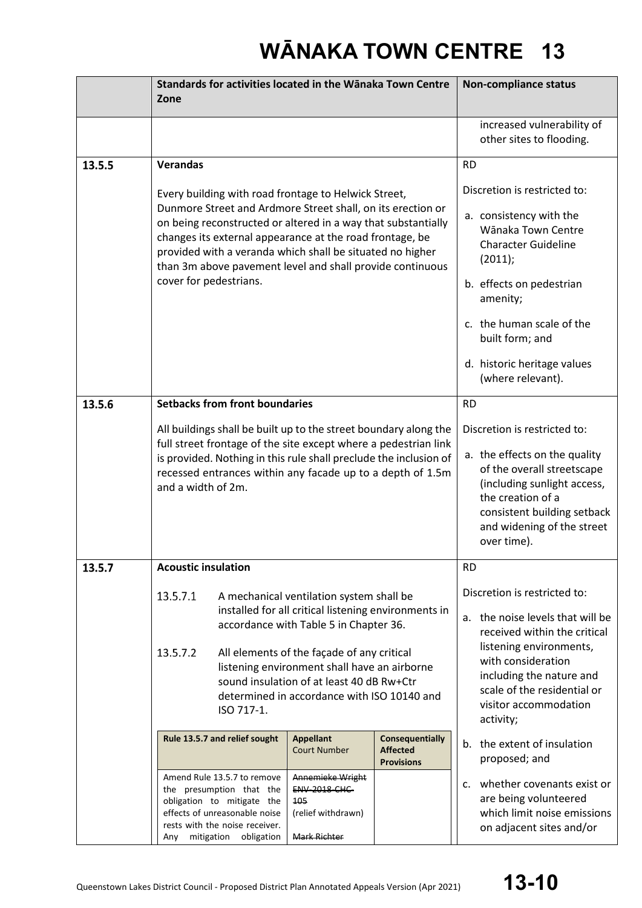|        | Standards for activities located in the Wānaka Town Centre                                                                                                                                                                                                                                                                                                                                           |                                                                                              | <b>Non-compliance status</b>                                                                                                                                                                                                                                       |                                                                                                                                                                                                                             |
|--------|------------------------------------------------------------------------------------------------------------------------------------------------------------------------------------------------------------------------------------------------------------------------------------------------------------------------------------------------------------------------------------------------------|----------------------------------------------------------------------------------------------|--------------------------------------------------------------------------------------------------------------------------------------------------------------------------------------------------------------------------------------------------------------------|-----------------------------------------------------------------------------------------------------------------------------------------------------------------------------------------------------------------------------|
|        | Zone                                                                                                                                                                                                                                                                                                                                                                                                 |                                                                                              |                                                                                                                                                                                                                                                                    |                                                                                                                                                                                                                             |
|        |                                                                                                                                                                                                                                                                                                                                                                                                      |                                                                                              |                                                                                                                                                                                                                                                                    | increased vulnerability of<br>other sites to flooding.                                                                                                                                                                      |
| 13.5.5 | <b>Verandas</b>                                                                                                                                                                                                                                                                                                                                                                                      |                                                                                              |                                                                                                                                                                                                                                                                    | <b>RD</b>                                                                                                                                                                                                                   |
|        | Every building with road frontage to Helwick Street,<br>Dunmore Street and Ardmore Street shall, on its erection or<br>on being reconstructed or altered in a way that substantially<br>changes its external appearance at the road frontage, be<br>provided with a veranda which shall be situated no higher<br>than 3m above pavement level and shall provide continuous<br>cover for pedestrians. |                                                                                              | Discretion is restricted to:<br>a. consistency with the<br>Wānaka Town Centre<br><b>Character Guideline</b><br>(2011);<br>b. effects on pedestrian<br>amenity;<br>c. the human scale of the<br>built form; and<br>d. historic heritage values<br>(where relevant). |                                                                                                                                                                                                                             |
| 13.5.6 | <b>Setbacks from front boundaries</b>                                                                                                                                                                                                                                                                                                                                                                |                                                                                              |                                                                                                                                                                                                                                                                    | <b>RD</b>                                                                                                                                                                                                                   |
|        | All buildings shall be built up to the street boundary along the<br>full street frontage of the site except where a pedestrian link<br>is provided. Nothing in this rule shall preclude the inclusion of<br>recessed entrances within any facade up to a depth of 1.5m<br>and a width of 2m.                                                                                                         |                                                                                              |                                                                                                                                                                                                                                                                    | Discretion is restricted to:<br>a. the effects on the quality<br>of the overall streetscape<br>(including sunlight access,<br>the creation of a<br>consistent building setback<br>and widening of the street<br>over time). |
| 13.5.7 | <b>Acoustic insulation</b>                                                                                                                                                                                                                                                                                                                                                                           |                                                                                              |                                                                                                                                                                                                                                                                    | <b>RD</b>                                                                                                                                                                                                                   |
|        | 13.5.7.1<br>A mechanical ventilation system shall be<br>installed for all critical listening environments in<br>accordance with Table 5 in Chapter 36.<br>13.5.7.2<br>All elements of the façade of any critical<br>listening environment shall have an airborne<br>sound insulation of at least 40 dB Rw+Ctr<br>determined in accordance with ISO 10140 and<br>ISO 717-1.                           |                                                                                              | Discretion is restricted to:<br>a. the noise levels that will be<br>received within the critical<br>listening environments,<br>with consideration<br>including the nature and<br>scale of the residential or<br>visitor accommodation<br>activity;                 |                                                                                                                                                                                                                             |
|        | Rule 13.5.7 and relief sought                                                                                                                                                                                                                                                                                                                                                                        | <b>Appellant</b><br><b>Court Number</b>                                                      | <b>Consequentially</b><br><b>Affected</b><br><b>Provisions</b>                                                                                                                                                                                                     | b. the extent of insulation<br>proposed; and                                                                                                                                                                                |
|        | Amend Rule 13.5.7 to remove<br>the presumption that the<br>obligation to mitigate the<br>effects of unreasonable noise<br>rests with the noise receiver.<br>mitigation<br>obligation<br>Any                                                                                                                                                                                                          | Annemieke Wright<br><b>ENV-2018-CHC-</b><br>105<br>(relief withdrawn)<br><b>Mark Richter</b> |                                                                                                                                                                                                                                                                    | whether covenants exist or<br>$\mathsf{C}$ .<br>are being volunteered<br>which limit noise emissions<br>on adjacent sites and/or                                                                                            |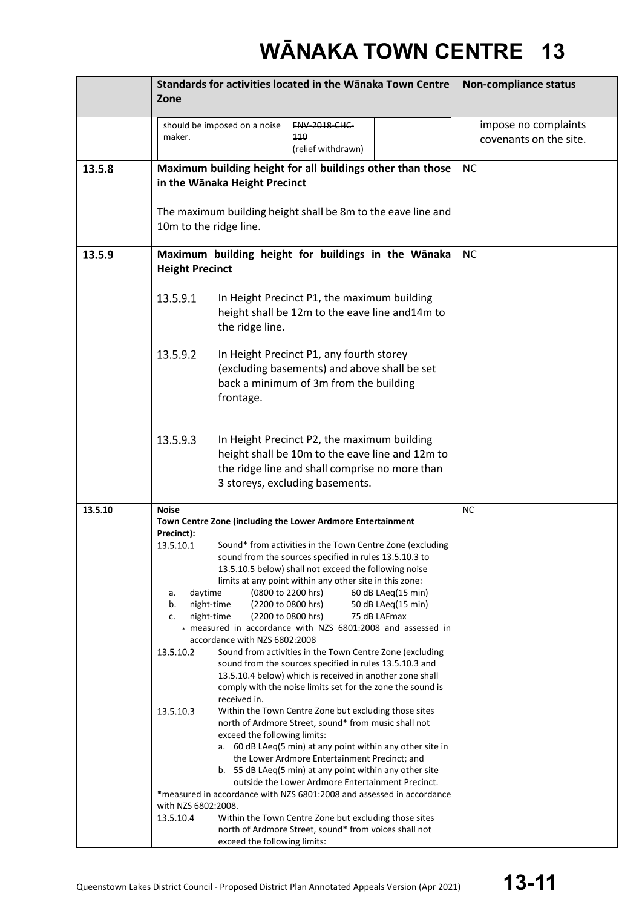|         | Standards for activities located in the Wānaka Town Centre                                                                 | <b>Non-compliance status</b> |  |
|---------|----------------------------------------------------------------------------------------------------------------------------|------------------------------|--|
|         | Zone                                                                                                                       |                              |  |
|         |                                                                                                                            |                              |  |
|         | should be imposed on a noise<br><b>ENV-2018-CHC-</b><br>maker.<br>110                                                      | impose no complaints         |  |
|         | (relief withdrawn)                                                                                                         | covenants on the site.       |  |
| 13.5.8  | Maximum building height for all buildings other than those                                                                 | <b>NC</b>                    |  |
|         | in the Wānaka Height Precinct                                                                                              |                              |  |
|         |                                                                                                                            |                              |  |
|         | The maximum building height shall be 8m to the eave line and                                                               |                              |  |
|         | 10m to the ridge line.                                                                                                     |                              |  |
|         |                                                                                                                            |                              |  |
| 13.5.9  | Maximum building height for buildings in the Wānaka                                                                        | <b>NC</b>                    |  |
|         | <b>Height Precinct</b>                                                                                                     |                              |  |
|         | 13.5.9.1<br>In Height Precinct P1, the maximum building                                                                    |                              |  |
|         | height shall be 12m to the eave line and14m to                                                                             |                              |  |
|         | the ridge line.                                                                                                            |                              |  |
|         |                                                                                                                            |                              |  |
|         | 13.5.9.2<br>In Height Precinct P1, any fourth storey                                                                       |                              |  |
|         | (excluding basements) and above shall be set                                                                               |                              |  |
|         | back a minimum of 3m from the building                                                                                     |                              |  |
|         | frontage.                                                                                                                  |                              |  |
|         |                                                                                                                            |                              |  |
|         | 13.5.9.3<br>In Height Precinct P2, the maximum building                                                                    |                              |  |
|         | height shall be 10m to the eave line and 12m to                                                                            |                              |  |
|         | the ridge line and shall comprise no more than                                                                             |                              |  |
|         | 3 storeys, excluding basements.                                                                                            |                              |  |
|         |                                                                                                                            |                              |  |
| 13.5.10 | <b>Noise</b><br>Town Centre Zone (including the Lower Ardmore Entertainment                                                | <b>NC</b>                    |  |
|         | Precinct):                                                                                                                 |                              |  |
|         | Sound* from activities in the Town Centre Zone (excluding<br>13.5.10.1                                                     |                              |  |
|         | sound from the sources specified in rules 13.5.10.3 to<br>13.5.10.5 below) shall not exceed the following noise            |                              |  |
|         | limits at any point within any other site in this zone:                                                                    |                              |  |
|         | daytime<br>(0800 to 2200 hrs)<br>60 dB LAeq(15 min)<br>a.                                                                  |                              |  |
|         | night-time<br>(2200 to 0800 hrs)<br>b.<br>50 dB LAeq(15 min)                                                               |                              |  |
|         | night-time<br>(2200 to 0800 hrs)<br>75 dB LAFmax<br>c.<br>* measured in accordance with NZS 6801:2008 and assessed in      |                              |  |
|         | accordance with NZS 6802:2008                                                                                              |                              |  |
|         | 13.5.10.2<br>Sound from activities in the Town Centre Zone (excluding                                                      |                              |  |
|         | sound from the sources specified in rules 13.5.10.3 and<br>13.5.10.4 below) which is received in another zone shall        |                              |  |
|         | comply with the noise limits set for the zone the sound is                                                                 |                              |  |
|         | received in.                                                                                                               |                              |  |
|         | 13.5.10.3<br>Within the Town Centre Zone but excluding those sites<br>north of Ardmore Street, sound* from music shall not |                              |  |
|         | exceed the following limits:                                                                                               |                              |  |
|         | a. 60 dB LAeq(5 min) at any point within any other site in                                                                 |                              |  |
|         | the Lower Ardmore Entertainment Precinct; and<br>b. 55 dB LAeq(5 min) at any point within any other site                   |                              |  |
|         | outside the Lower Ardmore Entertainment Precinct.                                                                          |                              |  |
|         | *measured in accordance with NZS 6801:2008 and assessed in accordance                                                      |                              |  |
|         | with NZS 6802:2008.<br>13.5.10.4<br>Within the Town Centre Zone but excluding those sites                                  |                              |  |
|         | north of Ardmore Street, sound* from voices shall not                                                                      |                              |  |
|         | exceed the following limits:                                                                                               |                              |  |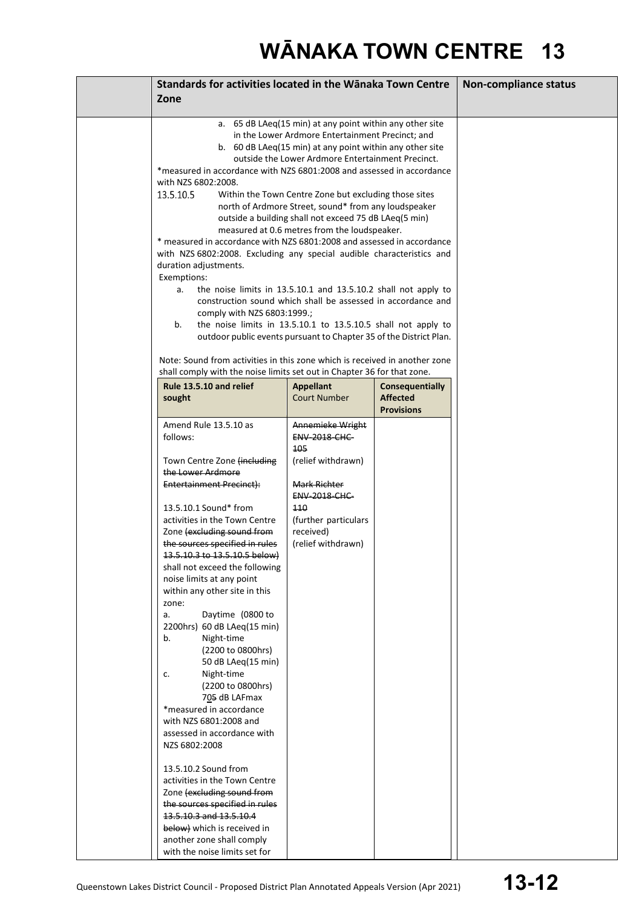| Standards for activities located in the Wānaka Town Centre                                                                                                                                                                                                                                                                                                                                                                                                                                                                                                                                                                                                                                                                                                                                                                                                                                                                                                                                                                                                                          |                                                                                                                                     |                                                                | <b>Non-compliance status</b> |
|-------------------------------------------------------------------------------------------------------------------------------------------------------------------------------------------------------------------------------------------------------------------------------------------------------------------------------------------------------------------------------------------------------------------------------------------------------------------------------------------------------------------------------------------------------------------------------------------------------------------------------------------------------------------------------------------------------------------------------------------------------------------------------------------------------------------------------------------------------------------------------------------------------------------------------------------------------------------------------------------------------------------------------------------------------------------------------------|-------------------------------------------------------------------------------------------------------------------------------------|----------------------------------------------------------------|------------------------------|
| Zone                                                                                                                                                                                                                                                                                                                                                                                                                                                                                                                                                                                                                                                                                                                                                                                                                                                                                                                                                                                                                                                                                |                                                                                                                                     |                                                                |                              |
|                                                                                                                                                                                                                                                                                                                                                                                                                                                                                                                                                                                                                                                                                                                                                                                                                                                                                                                                                                                                                                                                                     |                                                                                                                                     |                                                                |                              |
| a. 65 dB LAeq(15 min) at any point within any other site<br>in the Lower Ardmore Entertainment Precinct; and<br>b. 60 dB LAeq(15 min) at any point within any other site<br>outside the Lower Ardmore Entertainment Precinct.<br>*measured in accordance with NZS 6801:2008 and assessed in accordance<br>with NZS 6802:2008.<br>13.5.10.5<br>Within the Town Centre Zone but excluding those sites<br>north of Ardmore Street, sound* from any loudspeaker<br>outside a building shall not exceed 75 dB LAeq(5 min)<br>measured at 0.6 metres from the loudspeaker.<br>* measured in accordance with NZS 6801:2008 and assessed in accordance<br>with NZS 6802:2008. Excluding any special audible characteristics and<br>duration adjustments.<br>Exemptions:<br>the noise limits in 13.5.10.1 and 13.5.10.2 shall not apply to<br>a.<br>construction sound which shall be assessed in accordance and<br>comply with NZS 6803:1999.;<br>b.<br>the noise limits in 13.5.10.1 to 13.5.10.5 shall not apply to<br>outdoor public events pursuant to Chapter 35 of the District Plan. |                                                                                                                                     |                                                                |                              |
| Note: Sound from activities in this zone which is received in another zone<br>shall comply with the noise limits set out in Chapter 36 for that zone.                                                                                                                                                                                                                                                                                                                                                                                                                                                                                                                                                                                                                                                                                                                                                                                                                                                                                                                               |                                                                                                                                     |                                                                |                              |
| Rule 13.5.10 and relief<br>sought                                                                                                                                                                                                                                                                                                                                                                                                                                                                                                                                                                                                                                                                                                                                                                                                                                                                                                                                                                                                                                                   | <b>Appellant</b><br><b>Court Number</b>                                                                                             | <b>Consequentially</b><br><b>Affected</b><br><b>Provisions</b> |                              |
| Amend Rule 13.5.10 as<br>follows:                                                                                                                                                                                                                                                                                                                                                                                                                                                                                                                                                                                                                                                                                                                                                                                                                                                                                                                                                                                                                                                   | Annemieke Wright<br><b>ENV-2018-CHC-</b>                                                                                            |                                                                |                              |
| Town Centre Zone (including<br>the Lower Ardmore<br>Entertainment Precinct):<br>13.5.10.1 Sound* from<br>activities in the Town Centre<br>Zone (excluding sound from<br>the sources specified in rules<br>13.5.10.3 to 13.5.10.5 below)<br>shall not exceed the following<br>noise limits at any point<br>within any other site in this<br>zone:<br>Daytime (0800 to<br>a.<br>2200hrs) 60 dB LAeq(15 min)<br>Night-time<br>b.<br>(2200 to 0800hrs)<br>50 dB LAeq(15 min)<br>Night-time<br>c.<br>(2200 to 0800hrs)<br>705 dB LAFmax<br>*measured in accordance<br>with NZS 6801:2008 and<br>assessed in accordance with<br>NZS 6802:2008<br>13.5.10.2 Sound from<br>activities in the Town Centre<br>Zone (excluding sound from                                                                                                                                                                                                                                                                                                                                                      | 105<br>(relief withdrawn)<br>Mark Richter<br><b>ENV-2018-CHC-</b><br>110<br>(further particulars<br>received)<br>(relief withdrawn) |                                                                |                              |
| the sources specified in rules<br>13.5.10.3 and 13.5.10.4<br>below) which is received in<br>another zone shall comply<br>with the noise limits set for                                                                                                                                                                                                                                                                                                                                                                                                                                                                                                                                                                                                                                                                                                                                                                                                                                                                                                                              |                                                                                                                                     |                                                                |                              |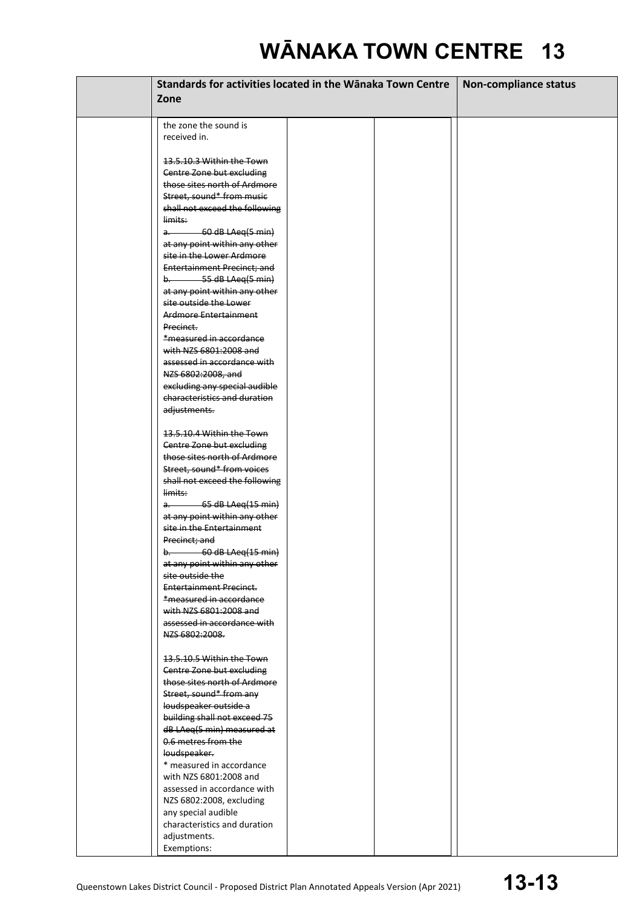| Standards for activities located in the Wānaka Town Centre    |  |  | <b>Non-compliance status</b> |
|---------------------------------------------------------------|--|--|------------------------------|
| Zone                                                          |  |  |                              |
|                                                               |  |  |                              |
| the zone the sound is                                         |  |  |                              |
| received in.                                                  |  |  |                              |
|                                                               |  |  |                              |
| 13.5.10.3 Within the Town                                     |  |  |                              |
| Centre Zone but excluding                                     |  |  |                              |
| those sites north of Ardmore                                  |  |  |                              |
| Street, sound* from music                                     |  |  |                              |
| shall not exceed the following<br>limits:                     |  |  |                              |
| $a.$ 60 dB LAeq(5 min)                                        |  |  |                              |
| at any point within any other                                 |  |  |                              |
| site in the Lower Ardmore                                     |  |  |                              |
| <b>Entertainment Precinct; and</b>                            |  |  |                              |
| $b.$ 55 dB LAeq(5 min)                                        |  |  |                              |
| at any point within any other                                 |  |  |                              |
| site outside the Lower                                        |  |  |                              |
| Ardmore Entertainment                                         |  |  |                              |
| Precinct.                                                     |  |  |                              |
| *measured in accordance<br>with NZS 6801:2008 and             |  |  |                              |
| assessed in accordance with                                   |  |  |                              |
| NZS 6802:2008, and                                            |  |  |                              |
| excluding any special audible                                 |  |  |                              |
| characteristics and duration                                  |  |  |                              |
| adjustments.                                                  |  |  |                              |
|                                                               |  |  |                              |
| 13.5.10.4 Within the Town                                     |  |  |                              |
| Centre Zone but excluding                                     |  |  |                              |
| those sites north of Ardmore<br>Street, sound* from voices    |  |  |                              |
| shall not exceed the following                                |  |  |                              |
| limits:                                                       |  |  |                              |
| $a.$ 65 dB LAeq(15 min)                                       |  |  |                              |
| at any point within any other                                 |  |  |                              |
| site in the Entertainment                                     |  |  |                              |
| Precinct; and                                                 |  |  |                              |
| $b.$ 60 dB LAeq(15 min)                                       |  |  |                              |
| at any point within any other                                 |  |  |                              |
| <del>site outside the</del><br><b>Entertainment Precinct.</b> |  |  |                              |
| *measured in accordance                                       |  |  |                              |
| with NZS 6801:2008 and                                        |  |  |                              |
| assessed in accordance with                                   |  |  |                              |
| NZS 6802:2008.                                                |  |  |                              |
|                                                               |  |  |                              |
| 13.5.10.5 Within the Town                                     |  |  |                              |
| Centre Zone but excluding                                     |  |  |                              |
| those sites north of Ardmore                                  |  |  |                              |
| Street, sound* from any                                       |  |  |                              |
| loudspeaker outside a<br>building shall not exceed 75         |  |  |                              |
| dB LAeq(5 min) measured at                                    |  |  |                              |
| 0.6 metres from the                                           |  |  |                              |
| loudspeaker.                                                  |  |  |                              |
| * measured in accordance                                      |  |  |                              |
| with NZS 6801:2008 and                                        |  |  |                              |
| assessed in accordance with                                   |  |  |                              |
| NZS 6802:2008, excluding                                      |  |  |                              |
| any special audible                                           |  |  |                              |
| characteristics and duration                                  |  |  |                              |
| adjustments.                                                  |  |  |                              |
| Exemptions:                                                   |  |  |                              |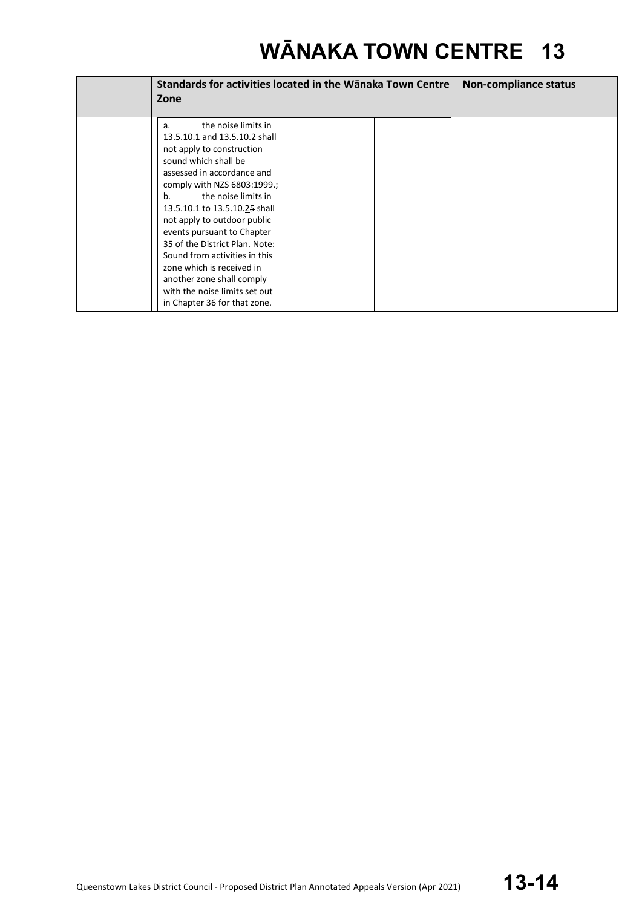| Zone                                                                                                                                                                                                                                                                                                                                                                                                                                                                                                  | Standards for activities located in the Wānaka Town Centre |  |  |
|-------------------------------------------------------------------------------------------------------------------------------------------------------------------------------------------------------------------------------------------------------------------------------------------------------------------------------------------------------------------------------------------------------------------------------------------------------------------------------------------------------|------------------------------------------------------------|--|--|
| the noise limits in<br>a.<br>13.5.10.1 and 13.5.10.2 shall<br>not apply to construction<br>sound which shall be<br>assessed in accordance and<br>comply with NZS 6803:1999.;<br>the noise limits in<br>b.<br>13.5.10.1 to 13.5.10.25 shall<br>not apply to outdoor public<br>events pursuant to Chapter<br>35 of the District Plan. Note:<br>Sound from activities in this<br>zone which is received in<br>another zone shall comply<br>with the noise limits set out<br>in Chapter 36 for that zone. |                                                            |  |  |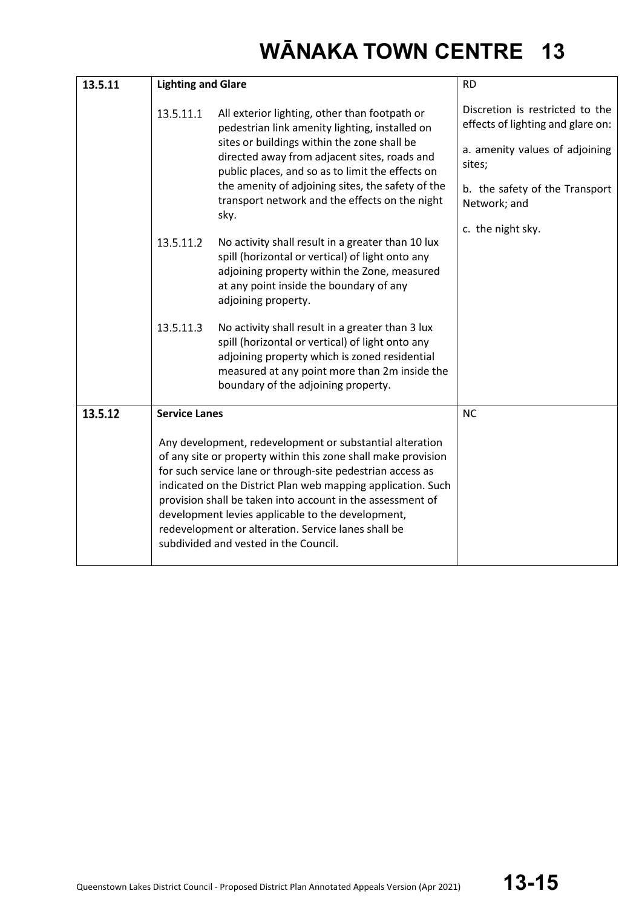| 13.5.11 | <b>Lighting and Glare</b>                                                                                                                                                                                                                                                                                                                                                                                                                                                  |                                                                                                                                                                                                                                                                                                                                                                   | <b>RD</b>                                                                                                                                                          |
|---------|----------------------------------------------------------------------------------------------------------------------------------------------------------------------------------------------------------------------------------------------------------------------------------------------------------------------------------------------------------------------------------------------------------------------------------------------------------------------------|-------------------------------------------------------------------------------------------------------------------------------------------------------------------------------------------------------------------------------------------------------------------------------------------------------------------------------------------------------------------|--------------------------------------------------------------------------------------------------------------------------------------------------------------------|
|         | 13.5.11.1                                                                                                                                                                                                                                                                                                                                                                                                                                                                  | All exterior lighting, other than footpath or<br>pedestrian link amenity lighting, installed on<br>sites or buildings within the zone shall be<br>directed away from adjacent sites, roads and<br>public places, and so as to limit the effects on<br>the amenity of adjoining sites, the safety of the<br>transport network and the effects on the night<br>sky. | Discretion is restricted to the<br>effects of lighting and glare on:<br>a. amenity values of adjoining<br>sites;<br>b. the safety of the Transport<br>Network; and |
|         | 13.5.11.2                                                                                                                                                                                                                                                                                                                                                                                                                                                                  | No activity shall result in a greater than 10 lux<br>spill (horizontal or vertical) of light onto any<br>adjoining property within the Zone, measured<br>at any point inside the boundary of any<br>adjoining property.                                                                                                                                           | c. the night sky.                                                                                                                                                  |
|         | 13.5.11.3                                                                                                                                                                                                                                                                                                                                                                                                                                                                  | No activity shall result in a greater than 3 lux<br>spill (horizontal or vertical) of light onto any<br>adjoining property which is zoned residential<br>measured at any point more than 2m inside the<br>boundary of the adjoining property.                                                                                                                     |                                                                                                                                                                    |
| 13.5.12 | <b>Service Lanes</b>                                                                                                                                                                                                                                                                                                                                                                                                                                                       |                                                                                                                                                                                                                                                                                                                                                                   | <b>NC</b>                                                                                                                                                          |
|         | Any development, redevelopment or substantial alteration<br>of any site or property within this zone shall make provision<br>for such service lane or through-site pedestrian access as<br>indicated on the District Plan web mapping application. Such<br>provision shall be taken into account in the assessment of<br>development levies applicable to the development,<br>redevelopment or alteration. Service lanes shall be<br>subdivided and vested in the Council. |                                                                                                                                                                                                                                                                                                                                                                   |                                                                                                                                                                    |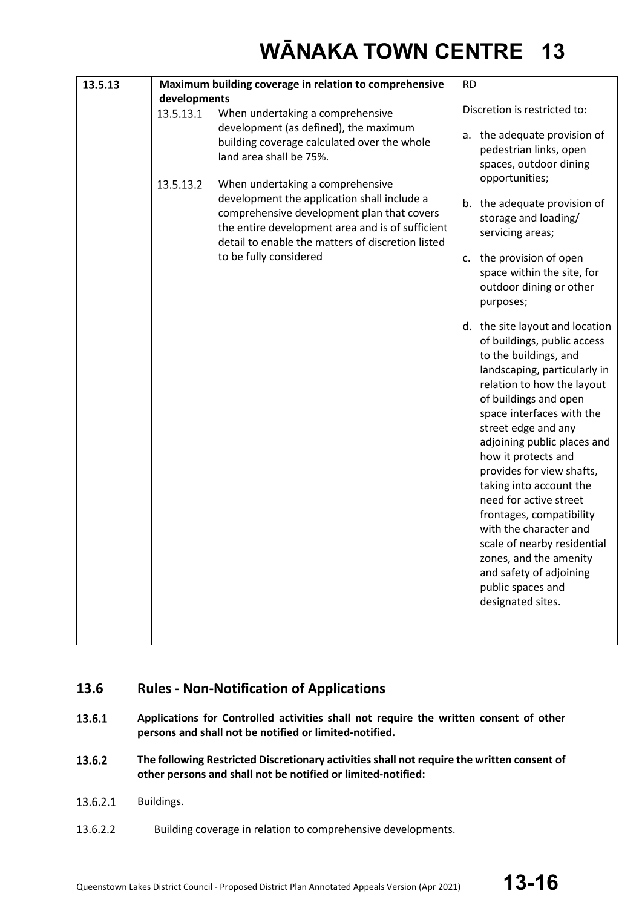### **13.6 Rules - Non-Notification of Applications**

- 13.6.1 **Applications for Controlled activities shall not require the written consent of other persons and shall not be notified or limited-notified.**
- 13.6.2 **The following Restricted Discretionary activities shall not require the written consent of other persons and shall not be notified or limited-notified:**
- 13.6.2.1 Buildings.
- 13.6.2.2 Building coverage in relation to comprehensive developments.